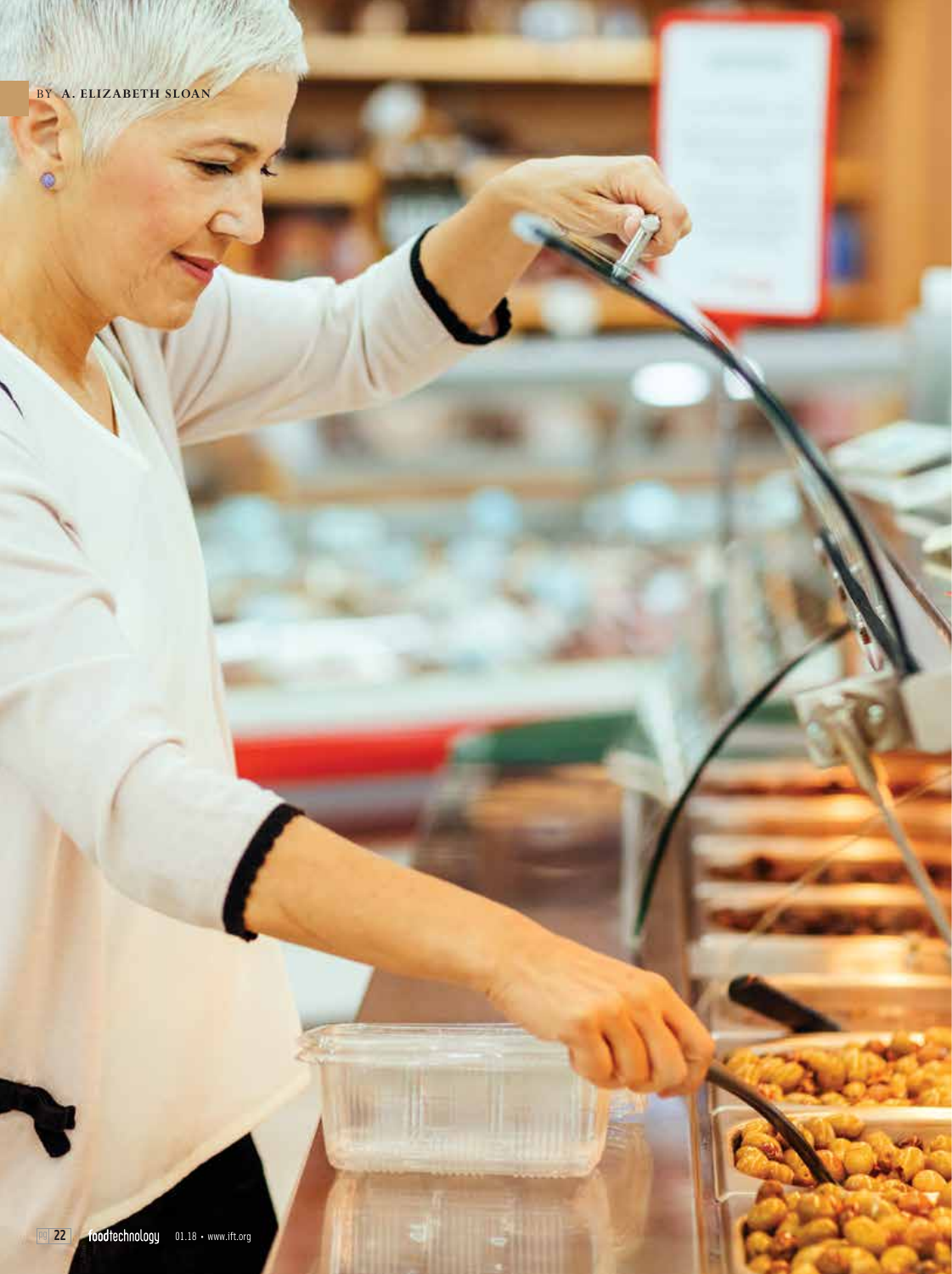Ø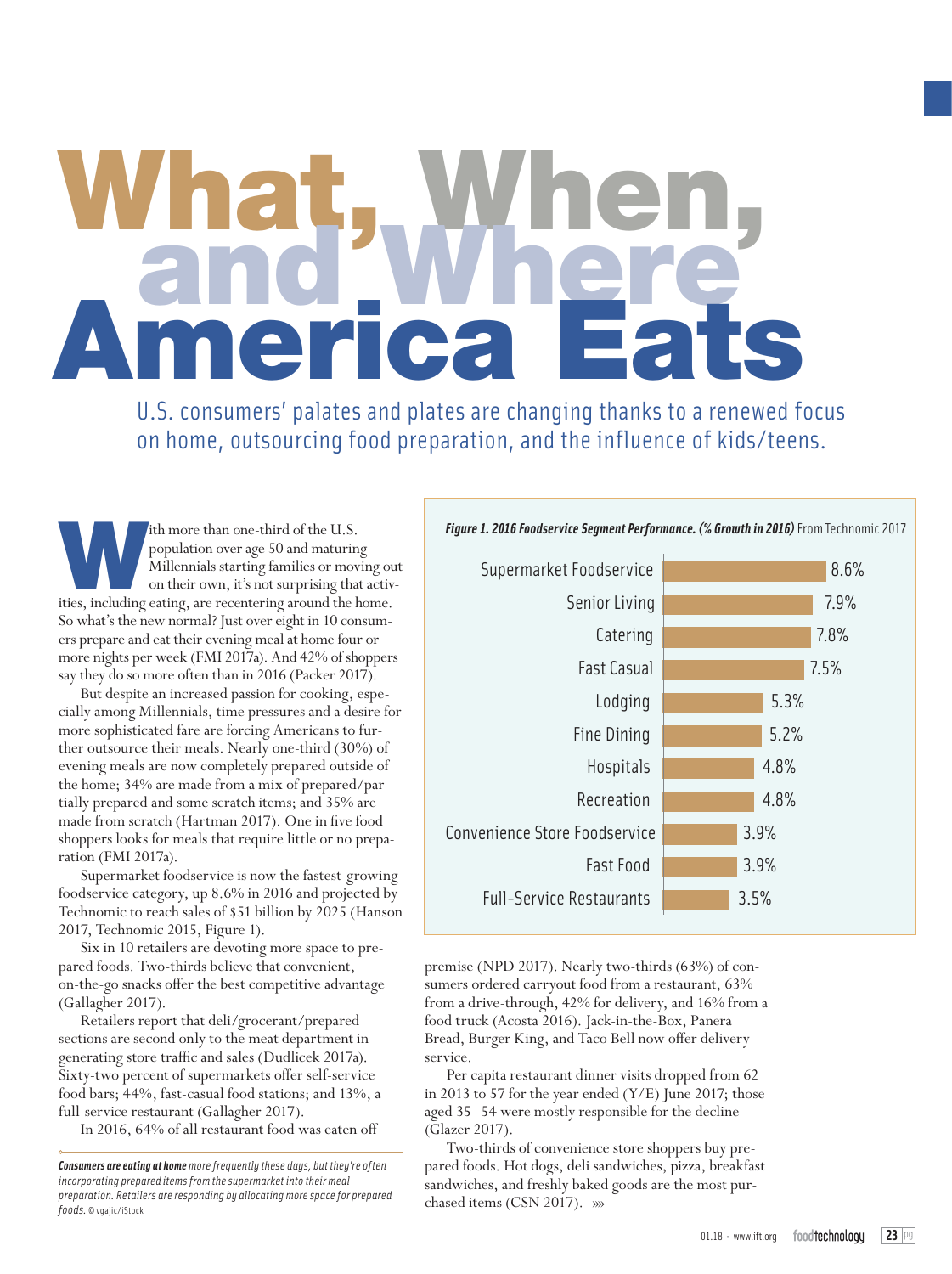# What, When,<br>America Eats

U.S. consumers' palates and plates are changing thanks to a renewed focus on home, outsourcing food preparation, and the influence of kids/teens.

ith more than one-third of the U.S.<br>
population over age 50 and maturing<br>
Millennials starting families or moving ou<br>
on their own, it's not surprising that activities,<br>
including eating, are recentering around the home. population over age 50 and maturing Millennials starting families or moving out on their own, it's not surprising that activ-So what's the new normal? Just over eight in 10 consumers prepare and eat their evening meal at home four or more nights per week (FMI 2017a). And 42% of shoppers say they do so more often than in 2016 (Packer 2017).

But despite an increased passion for cooking, especially among Millennials, time pressures and a desire for more sophisticated fare are forcing Americans to further outsource their meals. Nearly one-third (30%) of evening meals are now completely prepared outside of the home; 34% are made from a mix of prepared/partially prepared and some scratch items; and 35% are made from scratch (Hartman 2017). One in five food shoppers looks for meals that require little or no preparation (FMI 2017a).

Supermarket foodservice is now the fastest-growing foodservice category, up 8.6% in 2016 and projected by Technomic to reach sales of \$51 billion by 2025 (Hanson 2017, Technomic 2015, Figure 1).

Six in 10 retailers are devoting more space to prepared foods. Two-thirds believe that convenient, on-the-go snacks offer the best competitive advantage (Gallagher 2017).

Retailers report that deli/grocerant/prepared sections are second only to the meat department in generating store traffic and sales (Dudlicek 2017a). Sixty-two percent of supermarkets offer self-service food bars; 44%, fast-casual food stations; and 13%, a full-service restaurant (Gallagher 2017).

In 2016, 64% of all restaurant food was eaten off

## *Figure 1. 2016 Foodservice Segment Performance. (% Growth in 2016)* From Technomic 2017



premise (NPD 2017). Nearly two-thirds (63%) of consumers ordered carryout food from a restaurant, 63% from a drive-through, 42% for delivery, and 16% from a food truck (Acosta 2016). Jack-in-the-Box, Panera Bread, Burger King, and Taco Bell now offer delivery service.

Per capita restaurant dinner visits dropped from 62 in 2013 to 57 for the year ended (Y/E) June 2017; those aged 35–54 were mostly responsible for the decline (Glazer 2017).

Two-thirds of convenience store shoppers buy prepared foods. Hot dogs, deli sandwiches, pizza, breakfast sandwiches, and freshly baked goods are the most pur-

preparation, ketaliers are responaing by allocating more space for preparea **by chased items (CSN 2017). »»**<br>foods. © vgajic/iStock *Consumers are eating at home more frequently these days, but they're often incorporating prepared items from the supermarket into their meal preparation. Retailers are responding by allocating more space for prepared*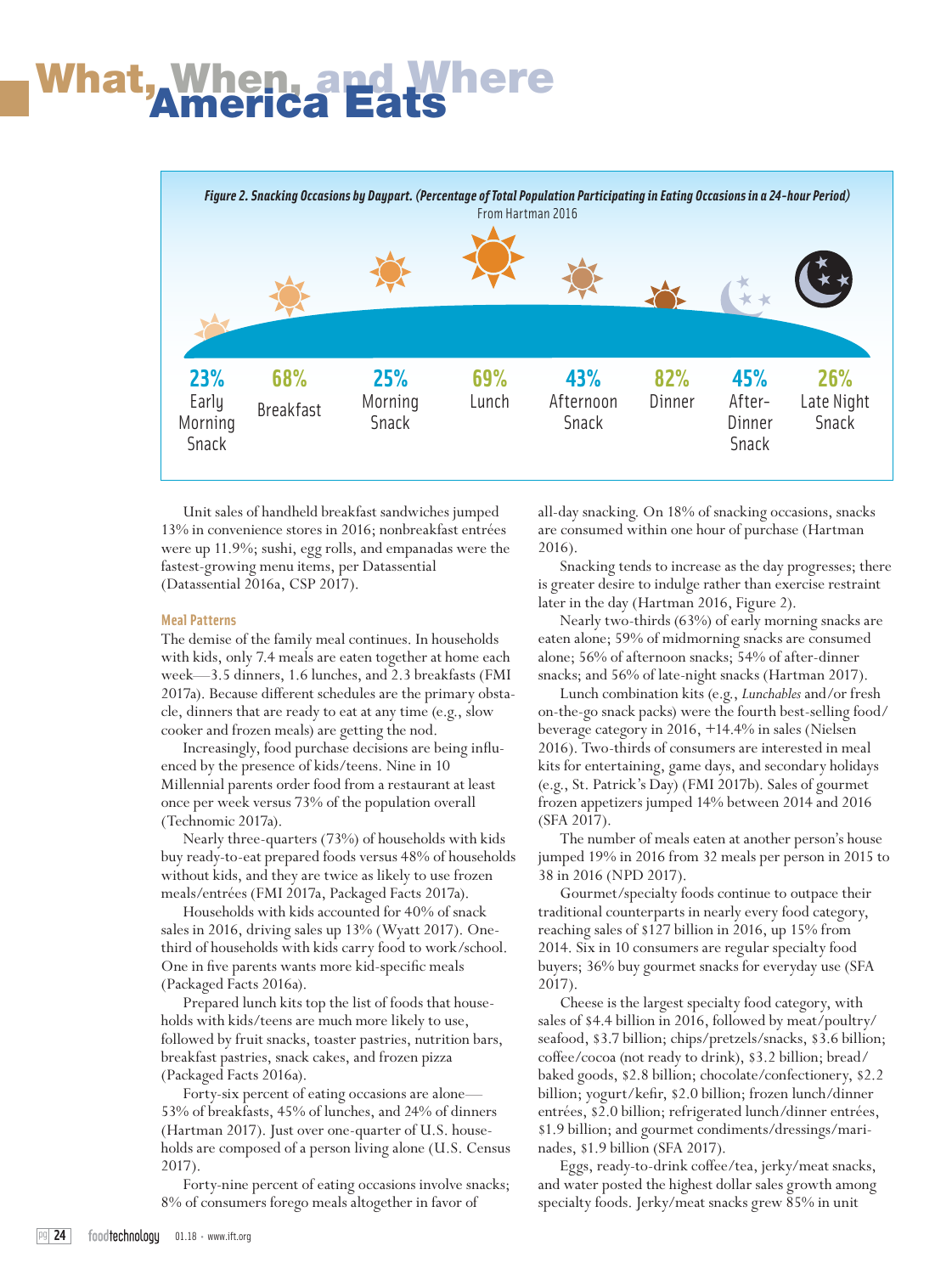## What<u>, When, a</u>



Unit sales of handheld breakfast sandwiches jumped 13% in convenience stores in 2016; nonbreakfast entrées were up 11.9%; sushi, egg rolls, and empanadas were the fastest-growing menu items, per Datassential (Datassential 2016a, CSP 2017).

#### **Meal Patterns**

The demise of the family meal continues. In households with kids, only 7.4 meals are eaten together at home each week—3.5 dinners, 1.6 lunches, and 2.3 breakfasts (FMI 2017a). Because different schedules are the primary obstacle, dinners that are ready to eat at any time (e.g., slow cooker and frozen meals) are getting the nod.

Increasingly, food purchase decisions are being influenced by the presence of kids/teens. Nine in 10 Millennial parents order food from a restaurant at least once per week versus 73% of the population overall (Technomic 2017a).

Nearly three-quarters (73%) of households with kids buy ready-to-eat prepared foods versus 48% of households without kids, and they are twice as likely to use frozen meals/entrées (FMI 2017a, Packaged Facts 2017a).

Households with kids accounted for 40% of snack sales in 2016, driving sales up 13% (Wyatt 2017). Onethird of households with kids carry food to work/school. One in five parents wants more kid-specific meals (Packaged Facts 2016a).

Prepared lunch kits top the list of foods that households with kids/teens are much more likely to use, followed by fruit snacks, toaster pastries, nutrition bars, breakfast pastries, snack cakes, and frozen pizza (Packaged Facts 2016a).

Forty-six percent of eating occasions are alone— 53% of breakfasts, 45% of lunches, and 24% of dinners (Hartman 2017). Just over one-quarter of U.S. households are composed of a person living alone (U.S. Census 2017).

Forty-nine percent of eating occasions involve snacks; 8% of consumers forego meals altogether in favor of

all-day snacking. On 18% of snacking occasions, snacks are consumed within one hour of purchase (Hartman 2016).

Snacking tends to increase as the day progresses; there is greater desire to indulge rather than exercise restraint later in the day (Hartman 2016, Figure 2).

Nearly two-thirds (63%) of early morning snacks are eaten alone; 59% of midmorning snacks are consumed alone; 56% of afternoon snacks; 54% of after-dinner snacks; and 56% of late-night snacks (Hartman 2017).

Lunch combination kits (e.g., *Lunchables* and/or fresh on-the-go snack packs) were the fourth best-selling food/ beverage category in 2016, +14.4% in sales (Nielsen 2016). Two-thirds of consumers are interested in meal kits for entertaining, game days, and secondary holidays (e.g., St. Patrick's Day) (FMI 2017b). Sales of gourmet frozen appetizers jumped 14% between 2014 and 2016 (SFA 2017).

The number of meals eaten at another person's house jumped 19% in 2016 from 32 meals per person in 2015 to 38 in 2016 (NPD 2017).

Gourmet/specialty foods continue to outpace their traditional counterparts in nearly every food category, reaching sales of \$127 billion in 2016, up 15% from 2014. Six in 10 consumers are regular specialty food buyers; 36% buy gourmet snacks for everyday use (SFA 2017).

Cheese is the largest specialty food category, with sales of \$4.4 billion in 2016, followed by meat/poultry/ seafood, \$3.7 billion; chips/pretzels/snacks, \$3.6 billion; coffee/cocoa (not ready to drink), \$3.2 billion; bread/ baked goods, \$2.8 billion; chocolate/confectionery, \$2.2 billion; yogurt/kefir, \$2.0 billion; frozen lunch/dinner entrées, \$2.0 billion; refrigerated lunch/dinner entrées, \$1.9 billion; and gourmet condiments/dressings/marinades, \$1.9 billion (SFA 2017).

Eggs, ready-to-drink coffee/tea, jerky/meat snacks, and water posted the highest dollar sales growth among specialty foods. Jerky/meat snacks grew 85% in unit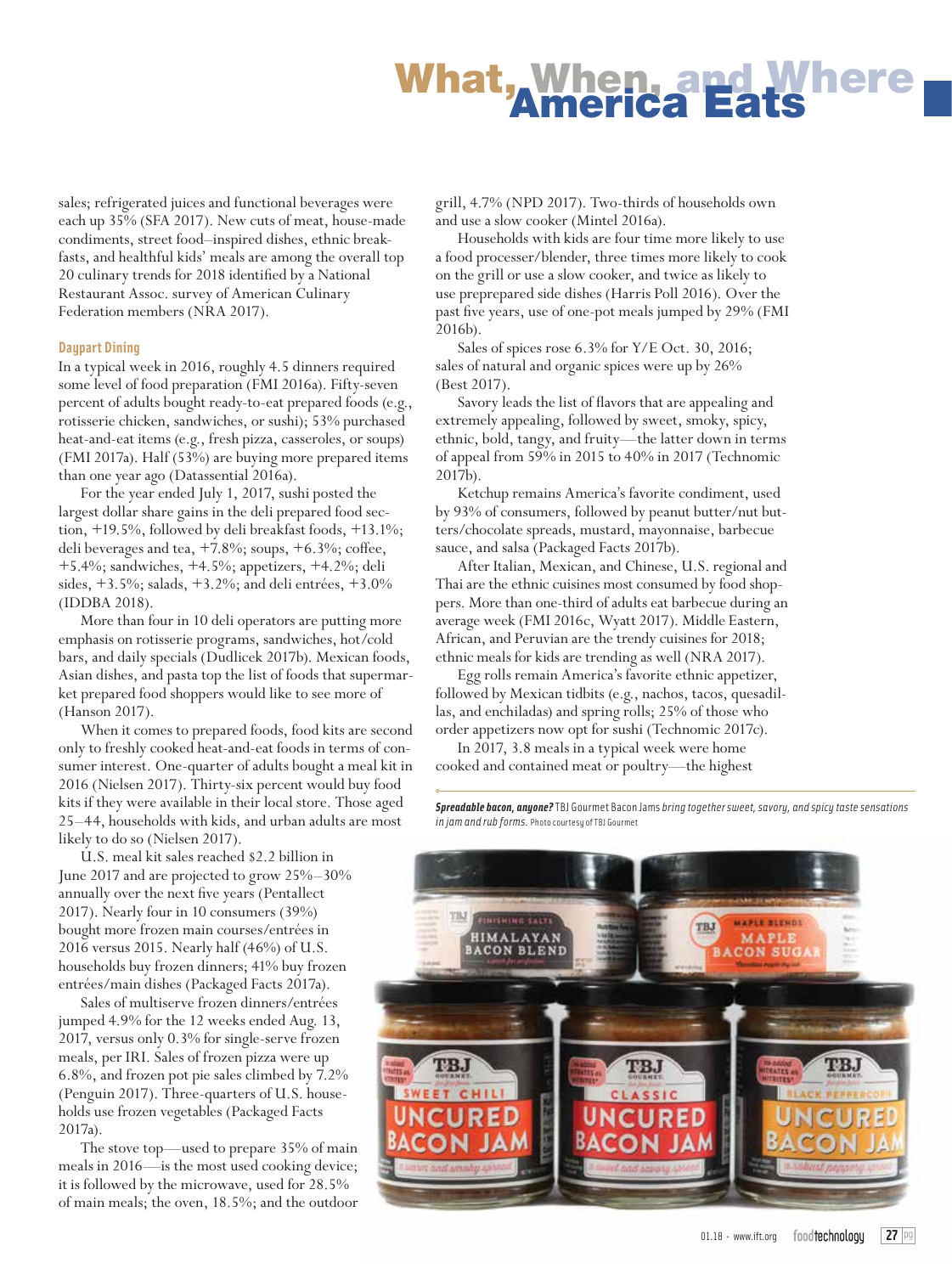## What, When, and J

sales; refrigerated juices and functional beverages were each up 35% (SFA 2017). New cuts of meat, house-made condiments, street food–inspired dishes, ethnic breakfasts, and healthful kids' meals are among the overall top 20 culinary trends for 2018 identified by a National Restaurant Assoc. survey of American Culinary Federation members (NRA 2017).

## **Daypart Dining**

In a typical week in 2016, roughly 4.5 dinners required some level of food preparation (FMI 2016a). Fifty-seven percent of adults bought ready-to-eat prepared foods (e.g., rotisserie chicken, sandwiches, or sushi); 53% purchased heat-and-eat items (e.g., fresh pizza, casseroles, or soups) (FMI 2017a). Half (53%) are buying more prepared items than one year ago (Datassential 2016a).

For the year ended July 1, 2017, sushi posted the largest dollar share gains in the deli prepared food section, +19.5%, followed by deli breakfast foods, +13.1%; deli beverages and tea, +7.8%; soups, +6.3%; coffee, +5.4%; sandwiches, +4.5%; appetizers, +4.2%; deli sides, +3.5%; salads, +3.2%; and deli entrées, +3.0% (IDDBA 2018).

More than four in 10 deli operators are putting more emphasis on rotisserie programs, sandwiches, hot/cold bars, and daily specials (Dudlicek 2017b). Mexican foods, Asian dishes, and pasta top the list of foods that supermarket prepared food shoppers would like to see more of (Hanson 2017).

When it comes to prepared foods, food kits are second only to freshly cooked heat-and-eat foods in terms of consumer interest. One-quarter of adults bought a meal kit in 2016 (Nielsen 2017). Thirty-six percent would buy food kits if they were available in their local store. Those aged 25–44, households with kids, and urban adults are most likely to do so (Nielsen 2017).

U.S. meal kit sales reached \$2.2 billion in June 2017 and are projected to grow 25%–30% annually over the next five years (Pentallect 2017). Nearly four in 10 consumers (39%) bought more frozen main courses/entrées in 2016 versus 2015. Nearly half (46%) of U.S. households buy frozen dinners; 41% buy frozen entrées/main dishes (Packaged Facts 2017a).

Sales of multiserve frozen dinners/entrées jumped 4.9% for the 12 weeks ended Aug. 13, 2017, versus only 0.3% for single-serve frozen meals, per IRI. Sales of frozen pizza were up 6.8%, and frozen pot pie sales climbed by 7.2% (Penguin 2017). Three-quarters of U.S. households use frozen vegetables (Packaged Facts 2017a).

The stove top—used to prepare 35% of main meals in 2016—is the most used cooking device; it is followed by the microwave, used for 28.5% of main meals; the oven, 18.5%; and the outdoor grill, 4.7% (NPD 2017). Two-thirds of households own and use a slow cooker (Mintel 2016a).

Households with kids are four time more likely to use a food processer/blender, three times more likely to cook on the grill or use a slow cooker, and twice as likely to use preprepared side dishes (Harris Poll 2016). Over the past five years, use of one-pot meals jumped by 29% (FMI 2016b).

Sales of spices rose 6.3% for Y/E Oct. 30, 2016; sales of natural and organic spices were up by 26% (Best 2017).

Savory leads the list of flavors that are appealing and extremely appealing, followed by sweet, smoky, spicy, ethnic, bold, tangy, and fruity—the latter down in terms of appeal from 59% in 2015 to 40% in 2017 (Technomic 2017b).

Ketchup remains America's favorite condiment, used by 93% of consumers, followed by peanut butter/nut butters/chocolate spreads, mustard, mayonnaise, barbecue sauce, and salsa (Packaged Facts 2017b).

After Italian, Mexican, and Chinese, U.S. regional and Thai are the ethnic cuisines most consumed by food shoppers. More than one-third of adults eat barbecue during an average week (FMI 2016c, Wyatt 2017). Middle Eastern, African, and Peruvian are the trendy cuisines for 2018; ethnic meals for kids are trending as well (NRA 2017).

Egg rolls remain America's favorite ethnic appetizer, followed by Mexican tidbits (e.g., nachos, tacos, quesadillas, and enchiladas) and spring rolls; 25% of those who order appetizers now opt for sushi (Technomic 2017c).

In 2017, 3.8 meals in a typical week were home cooked and contained meat or poultry—the highest

*Spreadable bacon, anyone?* TBJ Gourmet Bacon Jams *bring together sweet, savory, and spicy taste sensations in jam and rub forms.* Photo courtesy of TBJ Gourmet

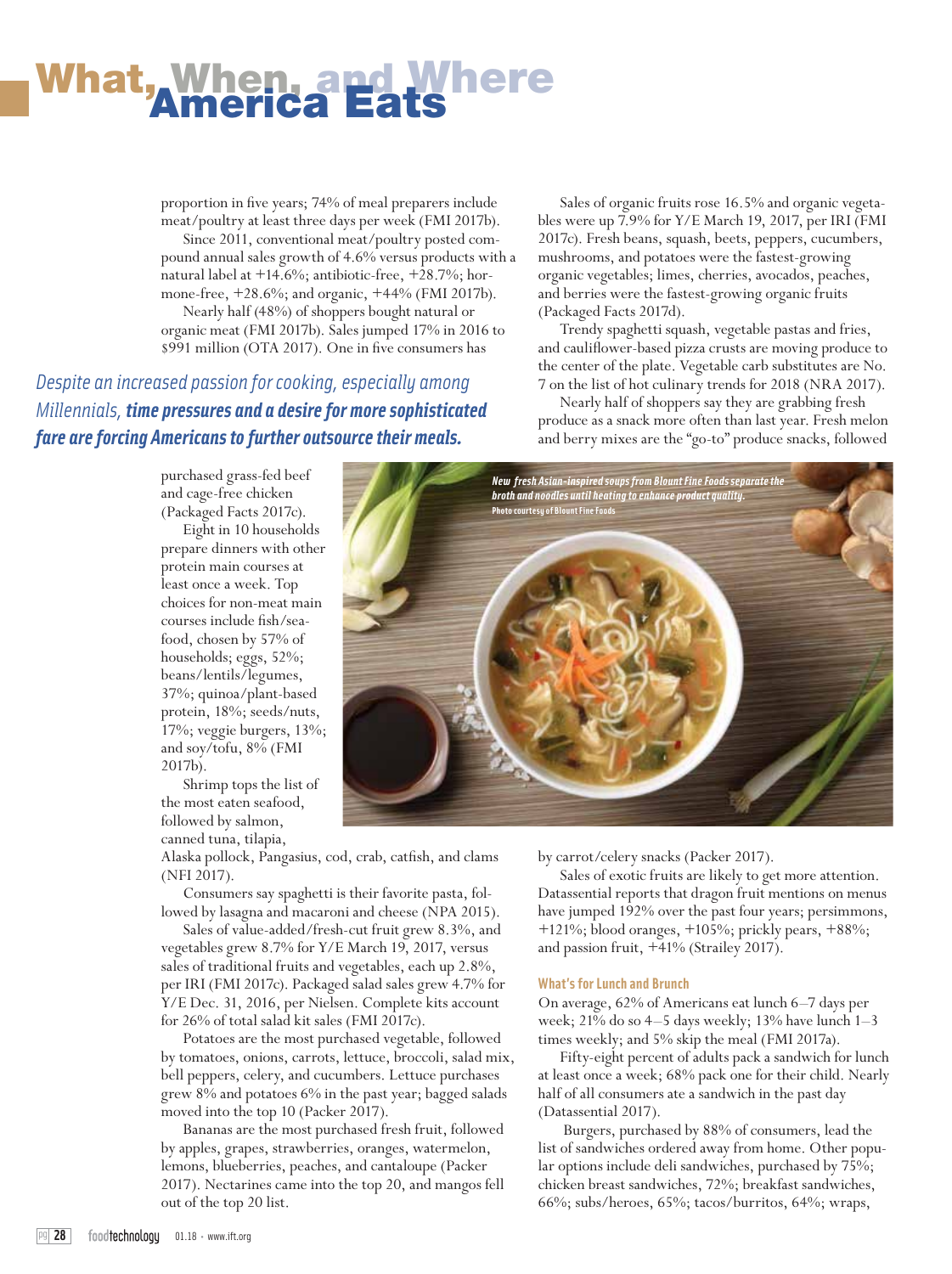# **What, When, and Where**<br>America Eats

proportion in five years; 74% of meal preparers include meat/poultry at least three days per week (FMI 2017b).

Since 2011, conventional meat/poultry posted compound annual sales growth of 4.6% versus products with a natural label at +14.6%; antibiotic-free, +28.7%; hormone-free, +28.6%; and organic, +44% (FMI 2017b). Nearly half (48%) of shoppers bought natural or

organic meat (FMI 2017b). Sales jumped 17% in 2016 to \$991 million (OTA 2017). One in five consumers has

*Despite an increased passion for cooking, especially among Millennials, time pressures and a desire for more sophisticated fare are forcing Americans to further outsource their meals.*

Sales of organic fruits rose 16.5% and organic vegetables were up 7.9% for Y/E March 19, 2017, per IRI (FMI 2017c). Fresh beans, squash, beets, peppers, cucumbers, mushrooms, and potatoes were the fastest-growing organic vegetables; limes, cherries, avocados, peaches, and berries were the fastest-growing organic fruits (Packaged Facts 2017d).

Trendy spaghetti squash, vegetable pastas and fries, and cauliflower-based pizza crusts are moving produce to the center of the plate. Vegetable carb substitutes are No. 7 on the list of hot culinary trends for 2018 (NRA 2017).

Nearly half of shoppers say they are grabbing fresh produce as a snack more often than last year. Fresh melon and berry mixes are the "go-to" produce snacks, followed

purchased grass-fed beef and cage-free chicken (Packaged Facts 2017c).

Eight in 10 households prepare dinners with other protein main courses at least once a week. Top choices for non-meat main courses include fish/seafood, chosen by 57% of households; eggs, 52%; beans/lentils/legumes, 37%; quinoa/plant-based protein, 18%; seeds/nuts, 17%; veggie burgers, 13%; and soy/tofu, 8% (FMI 2017b).

Shrimp tops the list of the most eaten seafood, followed by salmon, canned tuna, tilapia,

*New fresh Asian-inspired soups from Blount Fine Foods separate the broth and noodles until heating to enhance product quality.*  **Photo courtesy of Blount Fine Foods**

Alaska pollock, Pangasius, cod, crab, catfish, and clams (NFI 2017).

Consumers say spaghetti is their favorite pasta, followed by lasagna and macaroni and cheese (NPA 2015).

Sales of value-added/fresh-cut fruit grew 8.3%, and vegetables grew 8.7% for Y/E March 19, 2017, versus sales of traditional fruits and vegetables, each up 2.8%, per IRI (FMI 2017c). Packaged salad sales grew 4.7% for Y/E Dec. 31, 2016, per Nielsen. Complete kits account for 26% of total salad kit sales (FMI 2017c).

Potatoes are the most purchased vegetable, followed by tomatoes, onions, carrots, lettuce, broccoli, salad mix, bell peppers, celery, and cucumbers. Lettuce purchases grew 8% and potatoes 6% in the past year; bagged salads moved into the top 10 (Packer 2017).

Bananas are the most purchased fresh fruit, followed by apples, grapes, strawberries, oranges, watermelon, lemons, blueberries, peaches, and cantaloupe (Packer 2017). Nectarines came into the top 20, and mangos fell out of the top 20 list.

by carrot/celery snacks (Packer 2017).

Sales of exotic fruits are likely to get more attention. Datassential reports that dragon fruit mentions on menus have jumped 192% over the past four years; persimmons, +121%; blood oranges, +105%; prickly pears, +88%; and passion fruit, +41% (Strailey 2017).

## **What's for Lunch and Brunch**

On average, 62% of Americans eat lunch 6–7 days per week; 21% do so 4–5 days weekly; 13% have lunch 1–3 times weekly; and 5% skip the meal (FMI 2017a).

Fifty-eight percent of adults pack a sandwich for lunch at least once a week; 68% pack one for their child. Nearly half of all consumers ate a sandwich in the past day (Datassential 2017).

 Burgers, purchased by 88% of consumers, lead the list of sandwiches ordered away from home. Other popular options include deli sandwiches, purchased by 75%; chicken breast sandwiches, 72%; breakfast sandwiches, 66%; subs/heroes, 65%; tacos/burritos, 64%; wraps,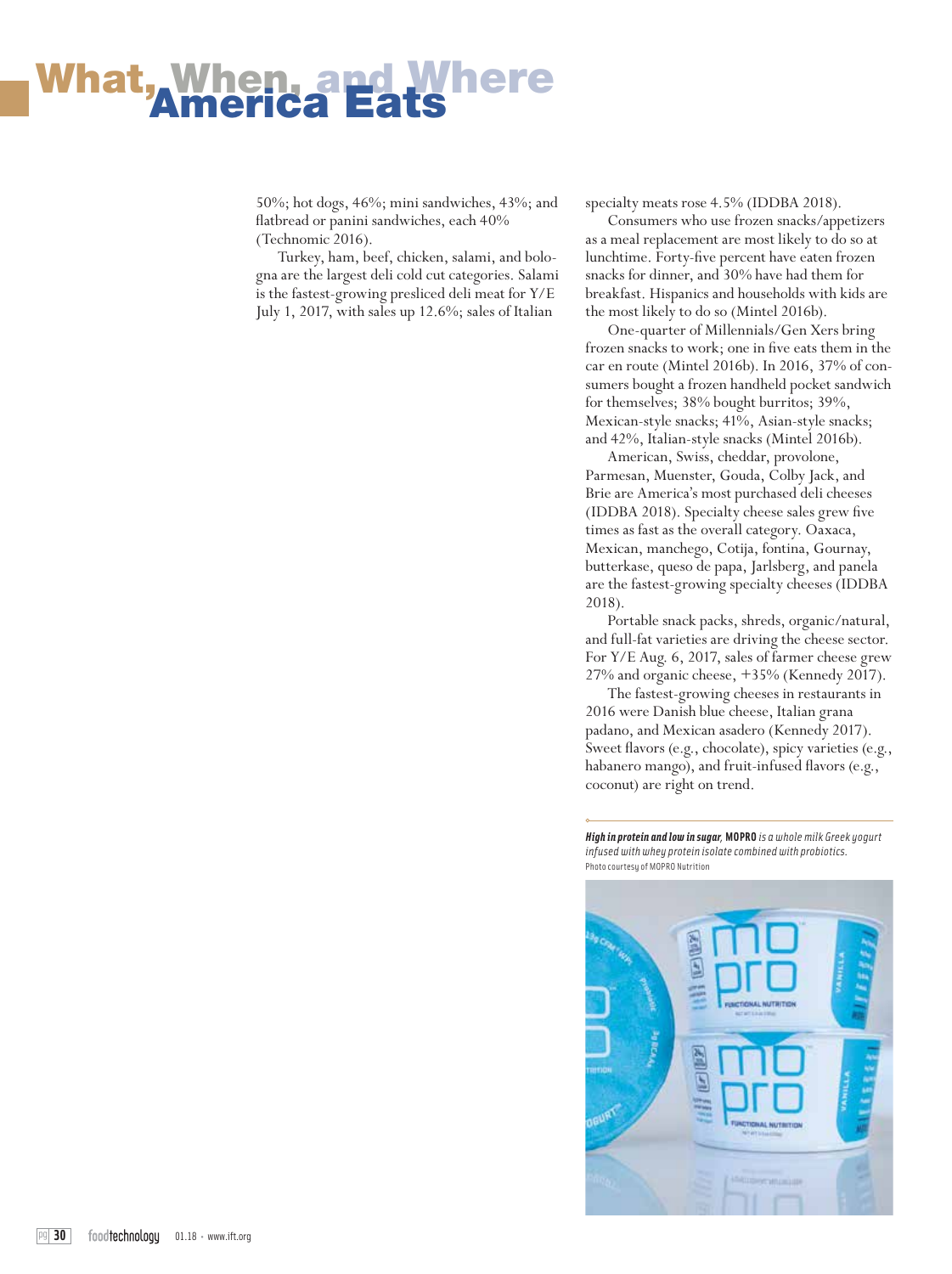## **What, When, and W<br>America Eats**

50%; hot dogs, 46%; mini sandwiches, 43%; and flatbread or panini sandwiches, each 40% (Technomic 2016).

Turkey, ham, beef, chicken, salami, and bologna are the largest deli cold cut categories. Salami is the fastest-growing presliced deli meat for Y/E July 1, 2017, with sales up 12.6%; sales of Italian

specialty meats rose 4.5% (IDDBA 2018).

Consumers who use frozen snacks/appetizers as a meal replacement are most likely to do so at lunchtime. Forty-five percent have eaten frozen snacks for dinner, and 30% have had them for breakfast. Hispanics and households with kids are the most likely to do so (Mintel 2016b).

One-quarter of Millennials/Gen Xers bring frozen snacks to work; one in five eats them in the car en route (Mintel 2016b). In 2016, 37% of consumers bought a frozen handheld pocket sandwich for themselves; 38% bought burritos; 39%, Mexican-style snacks; 41%, Asian-style snacks; and 42%, Italian-style snacks (Mintel 2016b).

American, Swiss, cheddar, provolone, Parmesan, Muenster, Gouda, Colby Jack, and Brie are America's most purchased deli cheeses (IDDBA 2018). Specialty cheese sales grew five times as fast as the overall category. Oaxaca, Mexican, manchego, Cotija, fontina, Gournay, butterkase, queso de papa, Jarlsberg, and panela are the fastest-growing specialty cheeses (IDDBA 2018).

Portable snack packs, shreds, organic/natural, and full-fat varieties are driving the cheese sector. For Y/E Aug. 6, 2017, sales of farmer cheese grew 27% and organic cheese, +35% (Kennedy 2017).

The fastest-growing cheeses in restaurants in 2016 were Danish blue cheese, Italian grana padano, and Mexican asadero (Kennedy 2017). Sweet flavors (e.g., chocolate), spicy varieties (e.g., habanero mango), and fruit-infused flavors (e.g., coconut) are right on trend.

*High in protein and low in sugar,* **MOPRO** *is a whole milk Greek yogurt infused with whey protein isolate combined with probiotics.*  Photo courtesy of MOPRO Nutrition

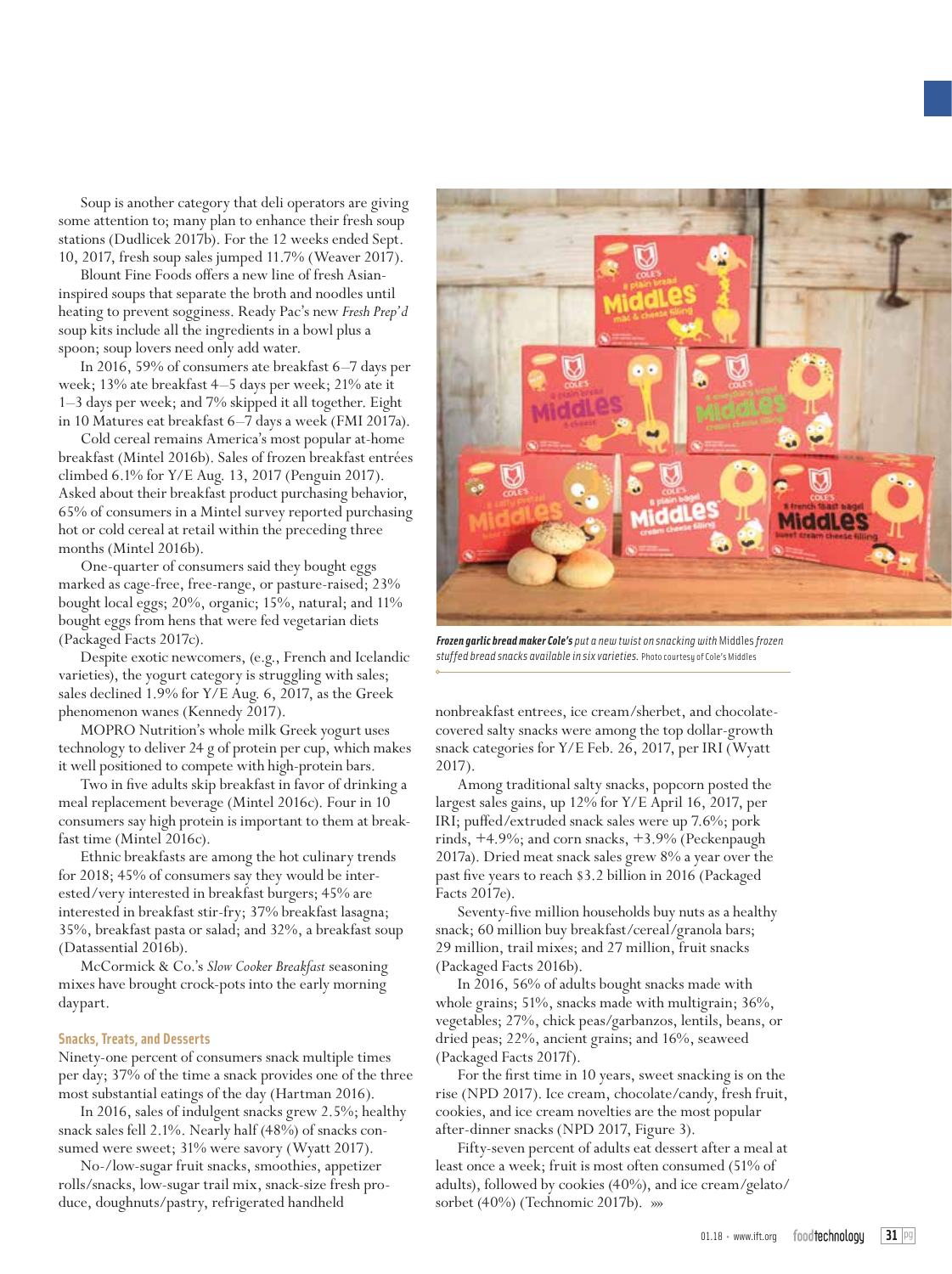Soup is another category that deli operators are giving some attention to; many plan to enhance their fresh soup stations (Dudlicek 2017b). For the 12 weeks ended Sept. 10, 2017, fresh soup sales jumped 11.7% (Weaver 2017).

Blount Fine Foods offers a new line of fresh Asianinspired soups that separate the broth and noodles until heating to prevent sogginess. Ready Pac's new *Fresh Prep'd* soup kits include all the ingredients in a bowl plus a spoon; soup lovers need only add water.

In 2016, 59% of consumers ate breakfast 6–7 days per week; 13% ate breakfast 4–5 days per week; 21% ate it 1–3 days per week; and 7% skipped it all together. Eight in 10 Matures eat breakfast 6–7 days a week (FMI 2017a).

Cold cereal remains America's most popular at-home breakfast (Mintel 2016b). Sales of frozen breakfast entrées climbed 6.1% for Y/E Aug. 13, 2017 (Penguin 2017). Asked about their breakfast product purchasing behavior, 65% of consumers in a Mintel survey reported purchasing hot or cold cereal at retail within the preceding three months (Mintel 2016b).

One-quarter of consumers said they bought eggs marked as cage-free, free-range, or pasture-raised; 23% bought local eggs; 20%, organic; 15%, natural; and 11% bought eggs from hens that were fed vegetarian diets (Packaged Facts 2017c).

Despite exotic newcomers, (e.g., French and Icelandic varieties), the yogurt category is struggling with sales; sales declined 1.9% for Y/E Aug. 6, 2017, as the Greek phenomenon wanes (Kennedy 2017).

MOPRO Nutrition's whole milk Greek yogurt uses technology to deliver 24 g of protein per cup, which makes it well positioned to compete with high-protein bars.

Two in five adults skip breakfast in favor of drinking a meal replacement beverage (Mintel 2016c). Four in 10 consumers say high protein is important to them at breakfast time (Mintel 2016c).

Ethnic breakfasts are among the hot culinary trends for 2018; 45% of consumers say they would be interested/very interested in breakfast burgers; 45% are interested in breakfast stir-fry; 37% breakfast lasagna; 35%, breakfast pasta or salad; and 32%, a breakfast soup (Datassential 2016b).

McCormick & Co.'s *Slow Cooker Breakfast* seasoning mixes have brought crock-pots into the early morning daypart.

### **Snacks, Treats, and Desserts**

Ninety-one percent of consumers snack multiple times per day; 37% of the time a snack provides one of the three most substantial eatings of the day (Hartman 2016).

In 2016, sales of indulgent snacks grew 2.5%; healthy snack sales fell 2.1%. Nearly half (48%) of snacks consumed were sweet; 31% were savory (Wyatt 2017).

No-/low-sugar fruit snacks, smoothies, appetizer rolls/snacks, low-sugar trail mix, snack-size fresh produce, doughnuts/pastry, refrigerated handheld



*Frozen garlic bread maker Cole's put a new twist on snacking with* Middles *frozen stuffed bread snacks available in six varieties.* Photo courtesy of Cole's Middles

nonbreakfast entrees, ice cream/sherbet, and chocolatecovered salty snacks were among the top dollar-growth snack categories for Y/E Feb. 26, 2017, per IRI (Wyatt 2017).

Among traditional salty snacks, popcorn posted the largest sales gains, up 12% for Y/E April 16, 2017, per IRI; puffed/extruded snack sales were up 7.6%; pork rinds, +4.9%; and corn snacks, +3.9% (Peckenpaugh 2017a). Dried meat snack sales grew 8% a year over the past five years to reach \$3.2 billion in 2016 (Packaged Facts 2017e).

Seventy-five million households buy nuts as a healthy snack; 60 million buy breakfast/cereal/granola bars; 29 million, trail mixes; and 27 million, fruit snacks (Packaged Facts 2016b).

In 2016, 56% of adults bought snacks made with whole grains; 51%, snacks made with multigrain; 36%, vegetables; 27%, chick peas/garbanzos, lentils, beans, or dried peas; 22%, ancient grains; and 16%, seaweed (Packaged Facts 2017f).

For the first time in 10 years, sweet snacking is on the rise (NPD 2017). Ice cream, chocolate/candy, fresh fruit, cookies, and ice cream novelties are the most popular after-dinner snacks (NPD 2017, Figure 3).

Fifty-seven percent of adults eat dessert after a meal at least once a week; fruit is most often consumed (51% of adults), followed by cookies (40%), and ice cream/gelato/ sorbet (40%) (Technomic 2017b). »»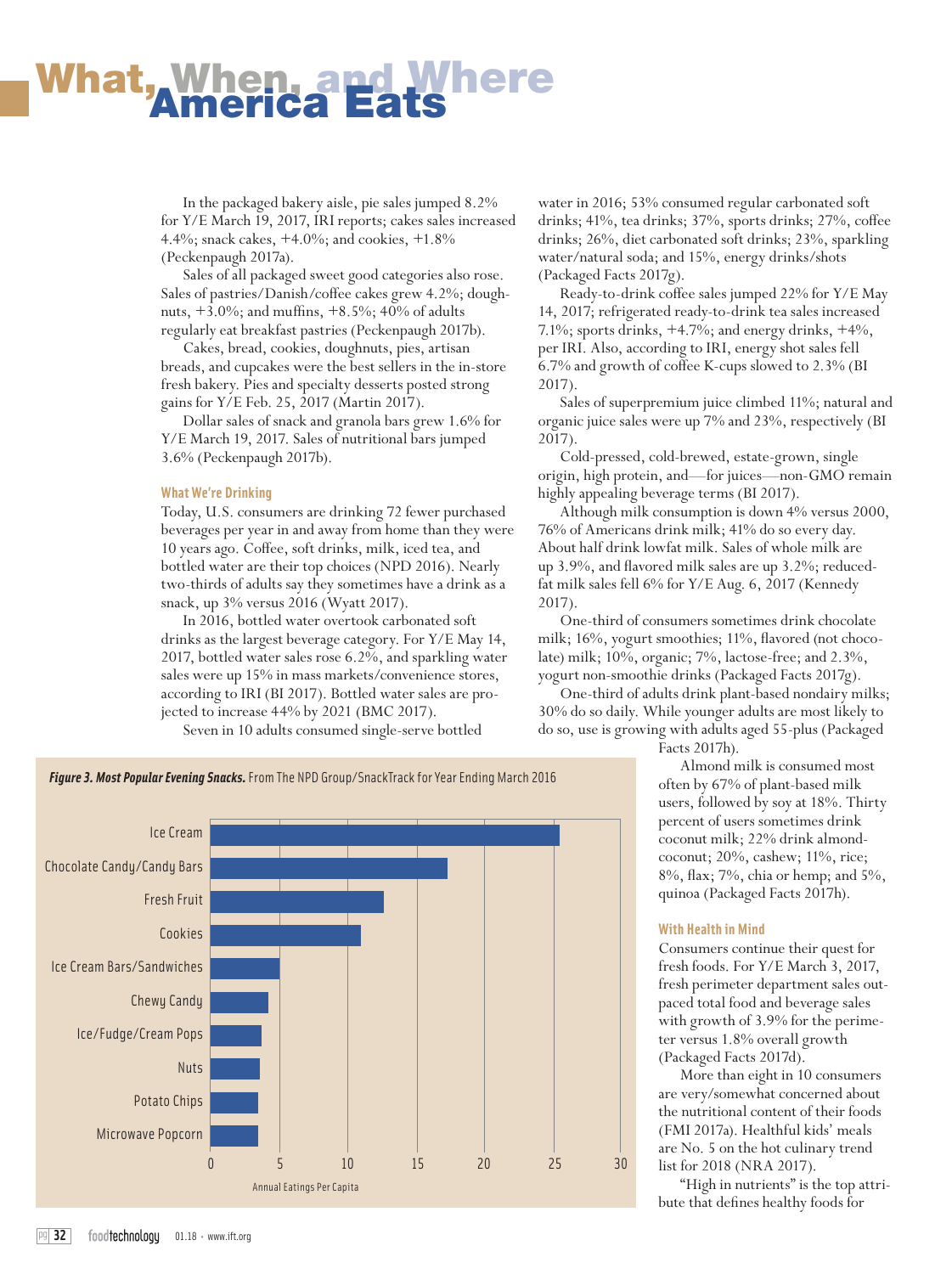## What, When, and Where<br>America Eats

In the packaged bakery aisle, pie sales jumped 8.2% for Y/E March 19, 2017, IRI reports; cakes sales increased 4.4%; snack cakes, +4.0%; and cookies, +1.8% (Peckenpaugh 2017a).

Sales of all packaged sweet good categories also rose. Sales of pastries/Danish/coffee cakes grew 4.2%; doughnuts, +3.0%; and muffins, +8.5%; 40% of adults regularly eat breakfast pastries (Peckenpaugh 2017b).

Cakes, bread, cookies, doughnuts, pies, artisan breads, and cupcakes were the best sellers in the in-store fresh bakery. Pies and specialty desserts posted strong gains for Y/E Feb. 25, 2017 (Martin 2017).

Dollar sales of snack and granola bars grew 1.6% for Y/E March 19, 2017. Sales of nutritional bars jumped 3.6% (Peckenpaugh 2017b).

#### **What We're Drinking**

Today, U.S. consumers are drinking 72 fewer purchased beverages per year in and away from home than they were 10 years ago. Coffee, soft drinks, milk, iced tea, and bottled water are their top choices (NPD 2016). Nearly two-thirds of adults say they sometimes have a drink as a snack, up 3% versus 2016 (Wyatt 2017).

In 2016, bottled water overtook carbonated soft drinks as the largest beverage category. For Y/E May 14, 2017, bottled water sales rose 6.2%, and sparkling water sales were up 15% in mass markets/convenience stores, according to IRI (BI 2017). Bottled water sales are projected to increase 44% by 2021 (BMC 2017).

Seven in 10 adults consumed single-serve bottled

water in 2016; 53% consumed regular carbonated soft drinks; 41%, tea drinks; 37%, sports drinks; 27%, coffee drinks; 26%, diet carbonated soft drinks; 23%, sparkling water/natural soda; and 15%, energy drinks/shots (Packaged Facts 2017g).

Ready-to-drink coffee sales jumped 22% for Y/E May 14, 2017; refrigerated ready-to-drink tea sales increased 7.1%; sports drinks, +4.7%; and energy drinks, +4%, per IRI. Also, according to IRI, energy shot sales fell 6.7% and growth of coffee K-cups slowed to 2.3% (BI 2017).

Sales of superpremium juice climbed 11%; natural and organic juice sales were up 7% and 23%, respectively (BI 2017).

Cold-pressed, cold-brewed, estate-grown, single origin, high protein, and—for juices—non-GMO remain highly appealing beverage terms (BI 2017).

Although milk consumption is down 4% versus 2000, 76% of Americans drink milk; 41% do so every day. About half drink lowfat milk. Sales of whole milk are up 3.9%, and flavored milk sales are up 3.2%; reducedfat milk sales fell 6% for Y/E Aug. 6, 2017 (Kennedy 2017).

One-third of consumers sometimes drink chocolate milk; 16%, yogurt smoothies; 11%, flavored (not chocolate) milk; 10%, organic; 7%, lactose-free; and 2.3%, yogurt non-smoothie drinks (Packaged Facts 2017g).

One-third of adults drink plant-based nondairy milks; 30% do so daily. While younger adults are most likely to do so, use is growing with adults aged 55-plus (Packaged

Facts 2017h).

Almond milk is consumed most often by 67% of plant-based milk users, followed by soy at 18%. Thirty percent of users sometimes drink coconut milk; 22% drink almondcoconut; 20%, cashew; 11%, rice; 8%, flax; 7%, chia or hemp; and 5%, quinoa (Packaged Facts 2017h).

#### **With Health in Mind**

Consumers continue their quest for fresh foods. For Y/E March 3, 2017, fresh perimeter department sales outpaced total food and beverage sales with growth of 3.9% for the perimeter versus 1.8% overall growth (Packaged Facts 2017d).

More than eight in 10 consumers are very/somewhat concerned about the nutritional content of their foods (FMI 2017a). Healthful kids' meals are No. 5 on the hot culinary trend list for 2018 (NRA 2017).

"High in nutrients" is the top attribute that defines healthy foods for



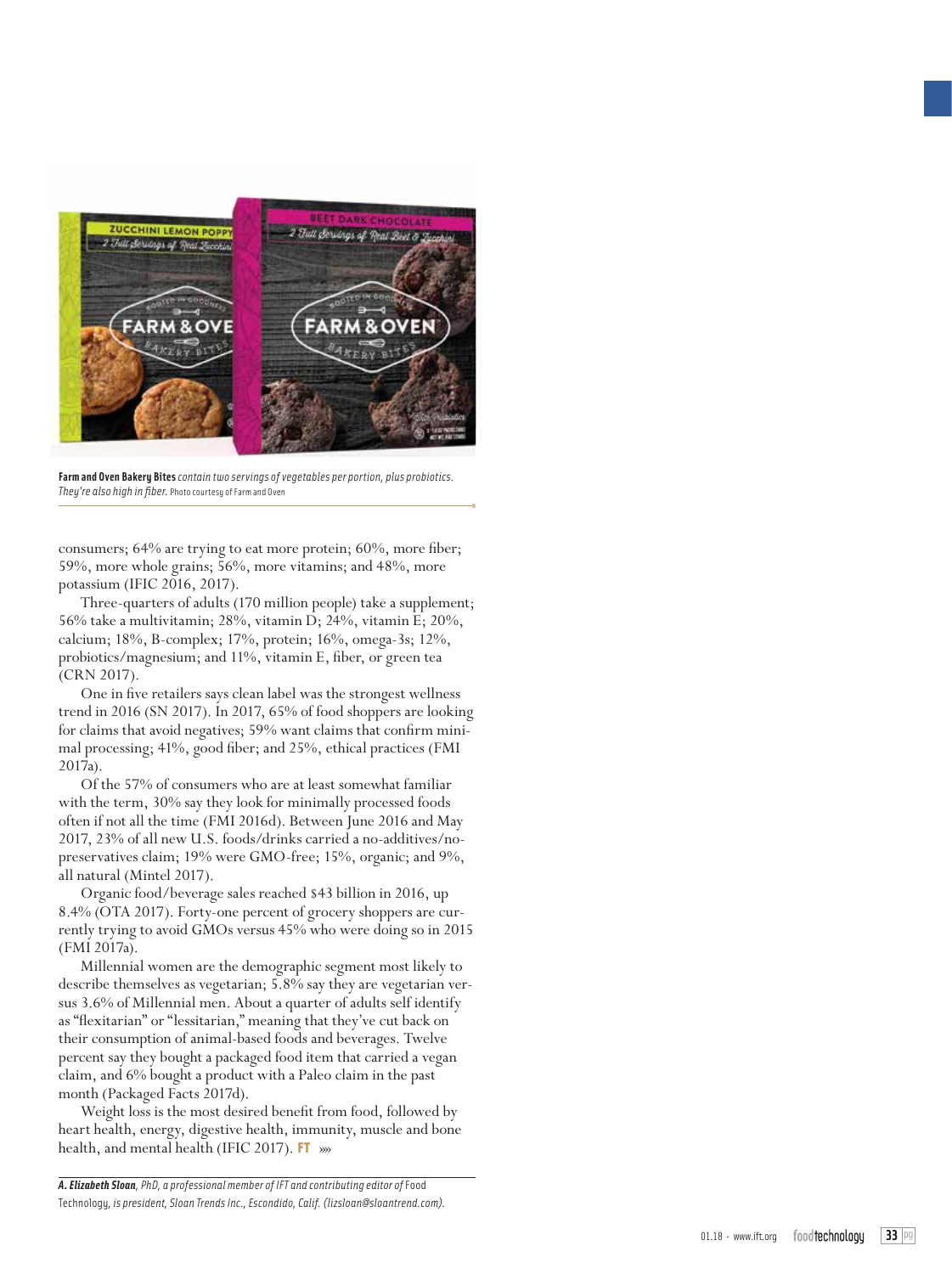

**Farm and Oven Bakery Bites** *contain two servings of vegetables per portion, plus probiotics. They're also high in fiber.* Photo courtesy of Farm and Oven

consumers; 64% are trying to eat more protein; 60%, more fiber; 59%, more whole grains; 56%, more vitamins; and 48%, more potassium (IFIC 2016, 2017).

Three-quarters of adults (170 million people) take a supplement; 56% take a multivitamin; 28%, vitamin D; 24%, vitamin E; 20%, calcium; 18%, B-complex; 17%, protein; 16%, omega-3s; 12%, probiotics/magnesium; and 11%, vitamin E, fiber, or green tea (CRN 2017).

One in five retailers says clean label was the strongest wellness trend in 2016 (SN 2017). In 2017, 65% of food shoppers are looking for claims that avoid negatives; 59% want claims that confirm minimal processing; 41%, good fiber; and 25%, ethical practices (FMI 2017a).

Of the 57% of consumers who are at least somewhat familiar with the term, 30% say they look for minimally processed foods often if not all the time (FMI 2016d). Between June 2016 and May 2017, 23% of all new U.S. foods/drinks carried a no-additives/nopreservatives claim; 19% were GMO-free; 15%, organic; and 9%, all natural (Mintel 2017).

Organic food/beverage sales reached \$43 billion in 2016, up 8.4% (OTA 2017). Forty-one percent of grocery shoppers are currently trying to avoid GMOs versus 45% who were doing so in 2015 (FMI 2017a).

Millennial women are the demographic segment most likely to describe themselves as vegetarian; 5.8% say they are vegetarian versus 3.6% of Millennial men. About a quarter of adults self identify as "flexitarian" or "lessitarian," meaning that they've cut back on their consumption of animal-based foods and beverages. Twelve percent say they bought a packaged food item that carried a vegan claim, and 6% bought a product with a Paleo claim in the past month (Packaged Facts 2017d).

Weight loss is the most desired benefit from food, followed by heart health, energy, digestive health, immunity, muscle and bone health, and mental health (IFIC 2017). FT  $_{\rm \gg}$ 

*A. Elizabeth Sloan, PhD, a professional member of IFT and contributing editor of* Food Technology*, is president, Sloan Trends Inc., Escondido, Calif. (lizsloan@sloantrend.com).*